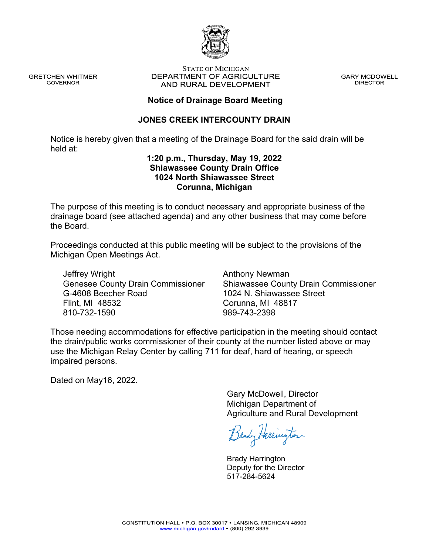

**GRETCHEN WHITMER GOVERNOR** 

#### **STATE OF MICHIGAN** DEPARTMENT OF AGRICULTURE AND RURAL DEVELOPMENT

**GARY MCDOWELL DIRECTOR** 

## **Notice of Drainage Board Meeting**

## **JONES CREEK INTERCOUNTY DRAIN**

Notice is hereby given that a meeting of the Drainage Board for the said drain will be held at:

### **1:20 p.m., Thursday, May 19, 2022 Shiawassee County Drain Office 1024 North Shiawassee Street Corunna, Michigan**

The purpose of this meeting is to conduct necessary and appropriate business of the drainage board (see attached agenda) and any other business that may come before the Board.

Proceedings conducted at this public meeting will be subject to the provisions of the Michigan Open Meetings Act.

Jeffrey Wright Genesee County Drain Commissioner G-4608 Beecher Road Flint, MI 48532 810-732-1590

Anthony Newman Shiawassee County Drain Commissioner 1024 N. Shiawassee Street Corunna, MI 48817 989-743-2398

Those needing accommodations for effective participation in the meeting should contact the drain/public works commissioner of their county at the number listed above or may use the Michigan Relay Center by calling 711 for deaf, hard of hearing, or speech impaired persons.

Dated on May16, 2022.

Gary McDowell, Director Michigan Department of Agriculture and Rural Development

Brady Herrington

Brady Harrington Deputy for the Director 517-284-5624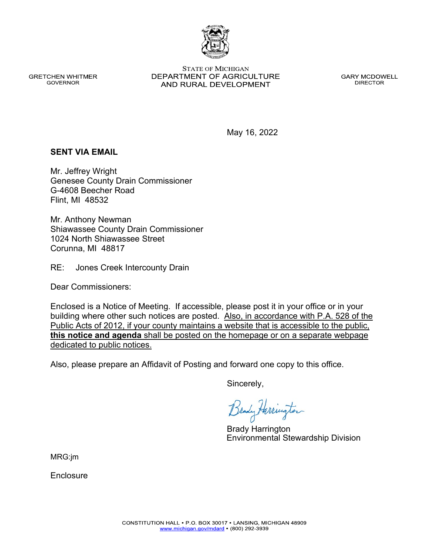CONSTITUTION HALL . P.O. BOX 30017 . LANSING, MICHIGAN 48909 www.michigan.gov/mdard • (800) 292-3939

Enclosure

Enclosed is a Notice of Meeting. If accessible, please post it in your office or in your building where other such notices are posted. Also, in accordance with P.A. 528 of the Public Acts of 2012, if your county maintains a website that is accessible to the public, **this notice and agenda** shall be posted on the homepage or on a separate webpage dedicated to public notices.

Also, please prepare an Affidavit of Posting and forward one copy to this office.

Sincerely,

Brady Harrington

Environmental Stewardship Division

**GRETCHEN WHITMER GOVERNOR** 

**SENT VIA EMAIL**

Mr. Jeffrey Wright

Flint, MI 48532

G-4608 Beecher Road

Mr. Anthony Newman

Corunna, MI 48817

Dear Commissioners:

1024 North Shiawassee Street

Genesee County Drain Commissioner

Shiawassee County Drain Commissioner

RE: Jones Creek Intercounty Drain

**STATE OF MICHIGAN** DEPARTMENT OF AGRICULTURE AND RURAL DEVELOPMENT

**GARY MCDOWELL DIRECTOR** 

May 16, 2022